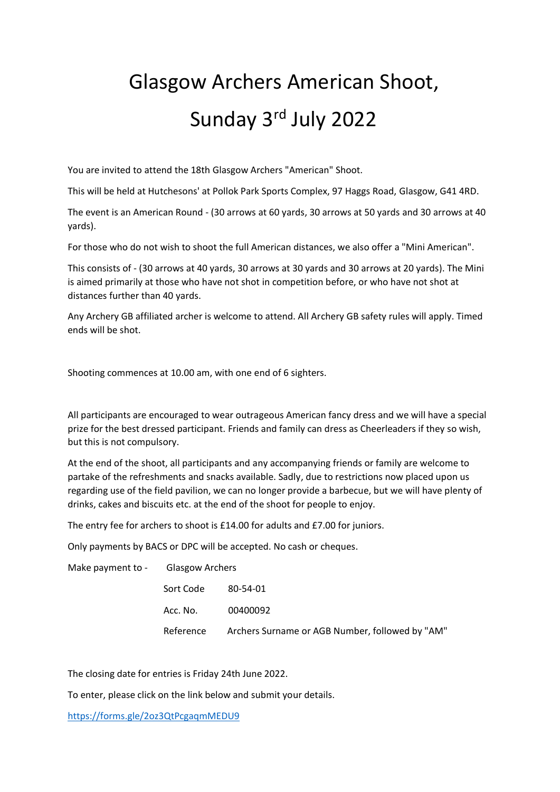## Glasgow Archers American Shoot, Sunday 3rd July 2022

You are invited to attend the 18th Glasgow Archers "American" Shoot.

This will be held at Hutchesons' at Pollok Park Sports Complex, 97 Haggs Road, Glasgow, G41 4RD.

The event is an American Round - (30 arrows at 60 yards, 30 arrows at 50 yards and 30 arrows at 40 yards).

For those who do not wish to shoot the full American distances, we also offer a "Mini American".

This consists of - (30 arrows at 40 yards, 30 arrows at 30 yards and 30 arrows at 20 yards). The Mini is aimed primarily at those who have not shot in competition before, or who have not shot at distances further than 40 yards.

Any Archery GB affiliated archer is welcome to attend. All Archery GB safety rules will apply. Timed ends will be shot.

Shooting commences at 10.00 am, with one end of 6 sighters.

All participants are encouraged to wear outrageous American fancy dress and we will have a special prize for the best dressed participant. Friends and family can dress as Cheerleaders if they so wish, but this is not compulsory.

At the end of the shoot, all participants and any accompanying friends or family are welcome to partake of the refreshments and snacks available. Sadly, due to restrictions now placed upon us regarding use of the field pavilion, we can no longer provide a barbecue, but we will have plenty of drinks, cakes and biscuits etc. at the end of the shoot for people to enjoy.

The entry fee for archers to shoot is £14.00 for adults and £7.00 for juniors.

Only payments by BACS or DPC will be accepted. No cash or cheques.

| Make payment to - |           | <b>Glasgow Archers</b>                          |  |
|-------------------|-----------|-------------------------------------------------|--|
|                   | Sort Code | 80-54-01                                        |  |
|                   | Acc. No.  | 00400092                                        |  |
|                   | Reference | Archers Surname or AGB Number, followed by "AM" |  |

The closing date for entries is Friday 24th June 2022.

To enter, please click on the link below and submit your details.

<https://forms.gle/2oz3QtPcgaqmMEDU9>